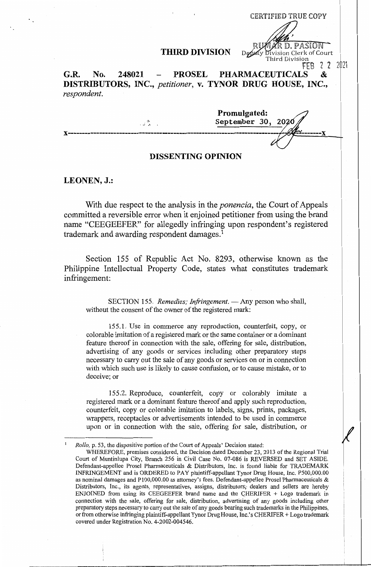## **THIRD DIVISION** Depaty Division Clerk of Court

CERTIFIED TRUE COPY

Third Division

R D. PASION

Rw

FEB  $2$  2 2021 G.R. No. 248021 - PROSEL PHARMACEUTICALS **DISTRIBUTORS, INC.,** *petitioner,* **v. TYNOR DRUG HOUSE, INC.,**  *respondent.* 

**Promulgated: September 30, 2020 x--·** ----------------------------------------------------------------------- -

# **DISSENTING OPINION**

**LEONEN, J.:** 

With due respect to the analysis in the *ponencia,* the Court of Appeals committed a reversible error when it enjoined petitioner from using the brand name "CEEGEEFER" for allegedly infringing upon respondent's registered trademark and awarding respondent damages.<sup>1</sup>

Section 155 of Republic Act No. 8293, otherwise known as the Philippine Intellectual Property Code, states what constitutes trademark infringement:

SECTION 155. *Remedies; Infringement*. - Any person who shall, without the consent of the owner of the registered mark:

155.1. Use in commerce any reproduction, counterfeit, copy, or colorable imitation of a registered mark or the same container or a dominant feature thereof in connection with the sale, offering for sale, distribution, advertising of any goods or services including other preparatory steps necessary to carry out the sale of any goods or services on or in connection with which such use is likely to cause confusion, or to cause mistake, or to deceive; or

155.2. Reproduce, counterfeit, copy or colorably imitate a registered mark or a dominant feature thereof and apply such reproduction, counterfeit, copy or colorable imitation to labels, signs, prints, packages, wrappers, receptacles or advertisements intended to be used in commerce upon or in connection with the sale, offering for sale, distribution, or

*Rollo,* p. 53, the dispositive portion of the Court of Appeals' Decision stated:

WHEREFORE, premises considered, the Decision dated December 23, 2013 of the Regional Trial Court of Muntinlupa City, Branch 256 in Civil Case No. 07-086 is REVERSED and SET ASIDE. Defendant-appellee Prose! Pharmaceuticals & Distributors, Inc. is found liable for TRADEMARK INFRINGEMENT and is ORDERED to PAY plaintiff-appellant Tynor Drug House, Inc. P500,000.00 as nominal damages and PI00,000.00 as attorney's fees. Defendant-appellee Prose! Pharmaceuticals & Distributors, Inc., its agents, representatives, assigns, distributors; dealers and sellers are hereby ENJOINED from using its CEEGEEFER brand name and the CHERIFER  $+$  Logo trademark in connection with the sale, offering for sale, distribution, advertising of any goods including other preparatory steps necessary to carry out the sale of any goods bearing such trademarks in the Philippines, or from otherwise infringing plaintiff-appellant Tynor Drug House, Inc. 's CHERIFER + Logo trademark covered under Registration No. 4-2002-004546.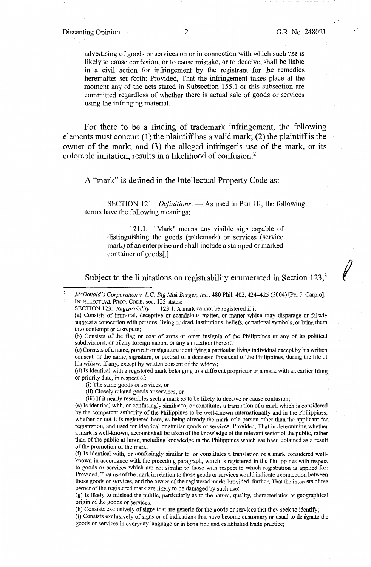## Dissenting Opinion 2 G.R. No. 248021

*t* 

advertising of goods or services on or in connection with which such use is likely to cause confusion, or to cause mistake, or to deceive, shall be liable in a civil action for infringement by the registrant for the remedies hereinafter set forth: Provided, That the infringement takes place at the moment any of the acts stated in Subsection 155.1 or this subsection are committed regardless of whether there is actual sale of goods or services using the infringing material.

For there to be a finding of trademark infringement, the following elements must concur: (1) the plaintiff has a valid mark; (2) the plaintiff is the owner of the mark; and (3) the alleged infringer's use of the mark, or its colorable imitation, results in a likelihood of confusion.<sup>2</sup>

A "mark" is defined in the Intellectual Property Code as:

SECTION 121. *Definitions*. - As used in Part III, the following terms have the following meanings:

121.1. "Mark" means any visible sign capable of distinguishing the goods (trademark) or services (service mark) of an enterprise and shall include a stamped or marked container of goods[.]

Subject to the limitations on registrability enumerated in Section 123,<sup>3</sup>

( c) Consists of a name, portrait or signature identifying a particular living individual except by his written consent, or the name, signature, or portrait of a deceased President of the Philippines, during the life of his widow, if any, except by written consent of the widow;

(d) Is identical with a registered mark belonging to a different proprietor or a mark with an earlier filing or priority date, in respect of:

(ii) Closely related goods or services, or

(iii) If it nearly resembles such a mark as to be likely to deceive or cause confusion;

( e) Is identical with, or confusingly similar to, or constitutes a translation of a mark which is considered by the competent authority of the Philippines to be well-known internationally and in the Philippines, whether or not it is registered here, as being already the mark of a person other than the applicant for registration, and used for identical or similar goods or services: Provided, That in determining whether a mark is well-known, account shall be taken of the knowledge of the relevant sector of the public, rather than of the public at large, including knowledge in the Philippines which has been obtained as a result of the promotion of the mark;

(f) Is identical with, or confusingly similar to, or constitutes a translation of a mark considered wellknown in accordance with the preceding paragraph, which is registered in the Philippines with respect to goods or services which are not similar to those with respect to which registration is applied for: Provided, That use of the mark in relation to those goods or services would indicate a connection between those goods or services, and the owner of the registered mark: Provided, further, That the interests of the owner of the registered mark are likely to be damaged by such use;

(g) Is likely to mislead the public, particularly as to the nature, quality, characteristics or geographical origin of the goods or services;

(h) Consists exclusively of signs that are generic for the goods or services that they seek to identify; (i) Consists exclusively of signs or of indications that have become customary or usual to designate the goods or services in everyday language or in bona fide and established trade practice;

<sup>2</sup>  3 *McDonald's Corporation v. L.C. Big Mak Burger, Inc., 480 Phil. 402, 424-425 (2004) [Per J. Carpio].* INTELLECTUAL PROP. CODE, sec. 123 states:

SECTION 123. *Registrability*. - 123.1. A mark cannot be registered if it:

<sup>(</sup>a) Consists of immoral, deceptive or scandalous matter, or matter which may disparage or falsely suggest a connection with persons, living or dead, institutions, beliefs, or national symbols, or bring them into contempt or disrepute;

<sup>(</sup>b) Consists of the flag or coat of arms or other insignia of the Philippines or any of its political subdivisions, or of any foreign nation, or any simulation thereof;

<sup>(</sup>i) The same goods or services, or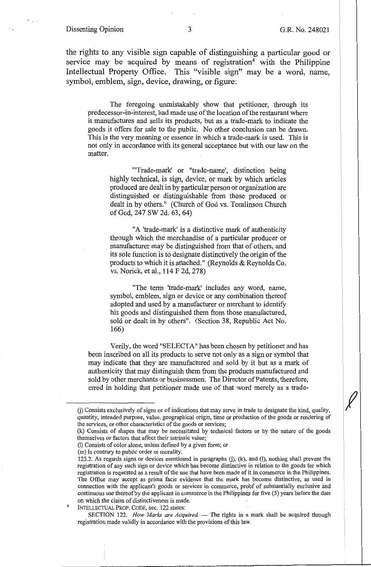### Dissenting Opinion 3 G.R. No. 248021

the rights to any visible sign capable of distinguishing a particular good or service may be acquired by means of registration<sup>4</sup> with the Philippine Intellectual Property Office. This "visible sign" may be a word, name, symbol, emblem, sign, device, drawing, or figure:

The foregoing unmistakably show that petitioner, through its predecessor-in-interest, had made use of the location of the restaurant where it manufactures and sells its products, but as a trade-mark to indicate the goods it offers for sale to the public. No other conclusion can be drawn. This is the very meaning or essence in which a trade-mark is used. This is not only in accordance with its general acceptance but with our law on the matter.

"'Trade-mark' or "trade-name', distinction being highly technical, is sign, device, or mark by which articles produced are dealt in by particular person or organization are distinguished or distinguishable from those produced or dealt in by others." (Church of God vs. Tomlinson Church of God, 247 SW 2d. 63, 64)

"A 'trade-mark' is a distinctive mark of authenticity through which the merchandise of a particular producer or manufacturer may be distinguished from that of others, and its sole function is to designate distinctively the origin of the products to which it is attached." (Reynolds & Reynolds Co. vs. Norick, et al., 114 F 2d, 278)

"The term 'trade-mark' includes any word, name, symbol, emblem, sign or device or any combination thereof adopted and used by a manufacturer or merchant to identify his goods and distinguished them from those manufactured, sold or dealt in by others". (Section 38, Republic Act No. 166)

Verily, the word "SELECT A" has been chosen by petitioner and has been inscribed on all its products to serve not only as a sign or symbol that may indicate that they are manufactured and sold by it but as a mark of authenticity that may distinguish them from the products manufactured and sold by other merchants or businessmen. The Director of Patents, therefore, erred in holding that petitioner made use of that word merely as a trade-

4

SECTION 122. *How Marks are Acquired*. - The rights in a mark shall be acquired through registration made validly in accordance with the provisions of this law.

G) Consists exclusively of signs or of indications that may serve in trade to designate the kind, quality, quantity, intended purpose, value, geographical origin, time or production of the goods or rendering of the services, or other characteristics of the goods or services;

<sup>(</sup>k) Consists of shapes that may be necessitated by technical factors or by the nature of the goods themselves or factors that affect their intrinsic value;

<sup>(1)</sup> Consists of color alone, unless defined by a given form; or

<sup>(</sup>m) Is contrary to public order or morality.

<sup>123.2.</sup> As regards signs or devices mentioned in paragraphs G), (k), and (I), nothing shall prevent the registration of any such sign or device which bas become distinctive in relation to the goods for which registration is requested as a result of the use that have been made of it in commerce in the Philippines. The Office may accept as prima facie evidence that the mark has become distinctive, as used in connection with the applicant's goods or services in commerce, probf of substantially exclusive and continuous use thereof by the applicant in commerce in the Philippines for five  $(5)$  years before the date on which the claim of distinctiveness is made.

INTELLECTUAL PROP. CODE, sec. 122 states: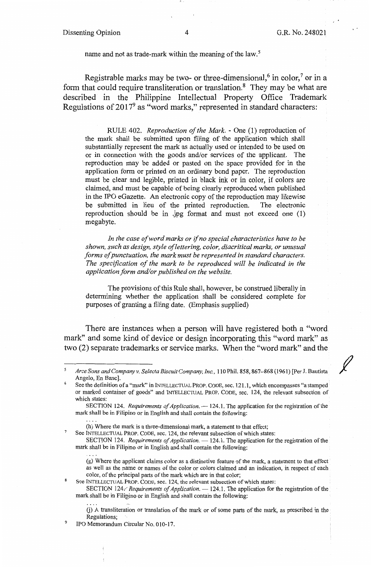*f* 

name and not as trade-mark within the meaning of the law.<sup>5</sup>

Registrable marks may be two- or three-dimensional,<sup>6</sup> in color,<sup>7</sup> or in a form that could require transliteration or translation. $8$  They may be what are described in the Philippine Intellectual Property Office Trademark Regulations of  $2017<sup>9</sup>$  as "word marks," represented in standard characters:

RULE 402. *Reproduction of the Mark.* - One (1) reproduction of the mark shall be submitted upon filing of the application which shall substantially represent the mark as actually used or intended to be used on or in connection with the goods and/or services of the applicant. The reproduction may be added or pasted on the space provided for in the application form or printed on an ordinary bond paper. The reproduction must be clear and legible, printed in black ink or in color, if colors are claimed, and must be capable of being clearly reproduced when published in the IPO eGazette. An electronic copy of the reproduction may likewise<br>be submitted in lieu of the printed reproduction. The electronic be submitted in lieu of the printed reproduction. reproduction should be in .jpg format and must not exceed one (1) megabyte.

*In the case of word marks or* if *no special characteristics have to be shown, such as design, style of lettering, color, diacritical marks, or unusual forms of punctuation, the mark must be represented in standard characters. The specification of the mark to be reproduced will be indicated in the application form and/or published on the website.* 

The provisions of this Rule shall, however, be construed liberally in determining whether the application shall be considered complete for purposes of granting a filing date. (Emphasis supplied)

There are instances when a person will have registered both a "word mark" and some kind of device or design incorporating this "word mark" as two (2) separate trademarks or service marks. When the "word mark" and the

See INTELLECTUAL PROP. CODE, sec. 124, the relevant subsection of which states:

SECTION 124. *Requirements of Application.* — 124.1. The application for the registration of the mark shall be in Filipino or in English and shall contain the following:

(g) Where the applicant claims color as a distinctive feature of the mark, a statement to that effect as well as the name or names of the color or colors claimed and an indication, in respect of each color, of the principal parts of the mark which are in that color;

See INTELLECTUAL PROP. CODE, sec. 124, the relevant subsection of which states:

SECTION 124*: Requirements of Application.* - 124.1. The application for the registration of the mark shall be in Filipino or in English and shall contain the following:

G) A transliteration or translation of the mark or of some parts of the mark, as prescribed in the Regulations;

9 IPO Memorandum Circular No. 010-17.

<sup>5</sup> *Arce Sons and Companyv. Selecta Biscuit Company, Inc.,* 110 Phil. 858, 867-868 (1961) [Per J. Bautista Angelo, En Banc].

<sup>6</sup>  See the definition of a "mark" in INTELLECTUAL PROP. CODE, sec. 121.1, which encompasses "a stamped or marked container of goods" and INTELLECTUAL PROP. CODE, sec. 124, the relevant subsection of which states:

SECTION 124. *Requirements of Application.* - 124.1. The application for the registration of the mark shall be in Filipino or in English and shall contain the following:

<sup>(</sup>h) Where the mark is a three-dimensional mark, a statement to that effect;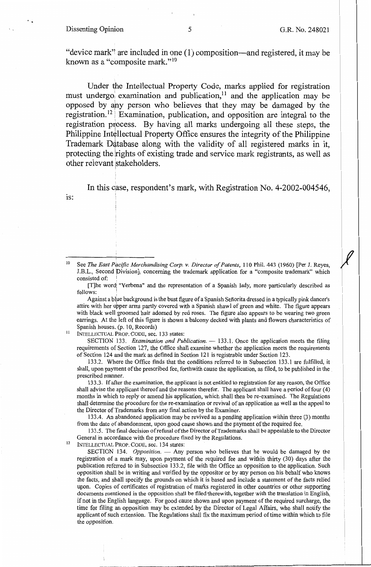### Dissenting Opinion 5 5 G.R. No. 248021

1s:

"device mark" are included in one  $(1)$  composition—and registered, it may be known as a "composite mark."<sup>10</sup>

Under the Intellectual Property Code, marks applied for registration must undergo examination and publication,<sup>11</sup> and the application may be opposed by any person who believes that they may be damaged by the registration.<sup>12</sup> Examination, publication, and opposition are integral to the registration process. By having all marks undergoing all these steps, the Philippine Intellectual Property Office ensures the integrity of the Philippine Trademark Database along with the validity of all registered marks in it, protecting the rights of existing trade and service mark registrants, as well as other relevant stakeholders.

In this case, respondent's mark, with Registration No. 4-2002-004546,

See The East Pacific Merchandising Corp. v. Director of Patents, 110 Phil. 443 (1960) [Per J. Reyes, J.B.L., Second Division], concerning the trademark application for a "composite trademark" which consisted of:

[T]he wordi "Verbena" and the representation of a Spanish lady, more particularly described as follows:

Against a blue background is the bust figure of a Spanish Señorita dressed in a typically pink dancer's attire with her upper arms partly covered with a Spanish shawl of green and white. The figure appears with black well groomed hair adorned by red roses. The figure also appears to be wearing two green earrings. At the left of this figure is shown a balcony decked with plants and flowers characteristics of Spanish houses. (p. 10, Records)

<sup>11</sup> INTELLECTUAL PROP. CODE, sec. 133 states:

SECTION 133. *Examination and Publication.* - 133.1. Once the application meets the filing requirements of Section 127, the Office shall examine whether the application meets the requirements of Section 124 and the mark as defined in Section 121 is registrable under Section 123.

133.2. Where the Office finds that the conditions referred to in Subsection 133.1 are fulfilled, it shall, upon payment of the prescribed fee, forthwith cause the application, as filed, to be published in the prescribed manner.

133 .3. If after the examination, the applicant is not entitled to registration for any reason, the Office shall advise the applicant thereof and the reasons therefor. The applicant shall have a period of four (4) months in which to reply or amend his application, which shall then be re-examined. The Regulations shall determine the procedure for the re-examination or revival of an application as well as the appeal to the Director of Trademarks from any final action by the Examiner.

133.4. An abandoned application may be revived as a pending application within three (3) months from the date of abandonment, upon good cause shown and the payment of the required fee.

133.5. The final decision ofrefusal of the Director of Trademarks shall be appealable to the Director General in accordance with the procedure fixed by the Regulations.

12 INTELLECTUAL PROP. CODE, sec. 134 states:

SECTION 134. *Opposition*. — Any person who believes that he would be damaged by the registration of a mark may, upon payment of the required fee and within thirty (30) days after the publication referred to in Subsection 133.2, file with the Office an opposition to the application. Such opposition shall be in writing and verified by the oppositor or by any person on his behalf who knows the facts, and shall specify the grounds on which it is based and include a statement of the facts relied upon. Copies of certificates of registration of marks registered in other countries or other supporting documents mentioned in the opposition shall be filed therewith, together with the translation in English, if not in the English language. For good cause shown and upon payment of the required surcharge, the time for filing an opposition may be extended by the Director of Legal Affairs, who shall notify the applicant of such extension. The Regulations shall fix the maximum period of time within which to file the opposition.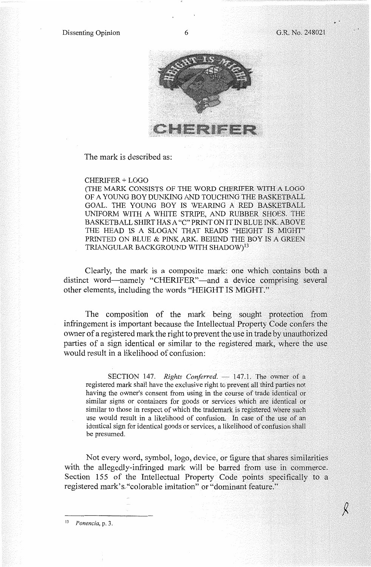

The mark is described as:

#### CHERIFER + LOGO

(THE MARK CONSISTS OF THE WORD CHERIFER WITH A LOGO OF A YOUNG BOY DUNKING AND TOUCHING THE BASKETBALL GOAL. THE YOUNG BOY IS WEARING A RED BASKETBALL UNIFORM WITH A WHITE STRIPE, AND RUBBER SHOES. THE BASKETBALL SHIRT HAS A "C" PRINT ON IT IN BLUE INK. ABOVE THE HEAD IS A SLOGAN THAT READS "HEIGHT IS MIGHT" PRINTED ON BLUE & PINK ARK. BEHIND THE BOY IS A GREEN TRIANGULAR BACKGROUND WITH SHADOW)<sup>13</sup>

Clearly, the mark is a composite mark: one which contains both a distinct word-namely "CHERIFER"-and a device comprising several other elements, including the words "HEIGHT IS MIGHT."

The composition of the mark being sought protection from infringement is important because the Intellectual Property Code confers the owner of a registered mark the right to prevent the use in trade by unauthorized parties of a sign identical or similar to the registered mark, where the use would result in a likelihood of confusion:

SECTION 147. *Rights Conferred.* - 147.1. The owner of a registered mark shall have the exclusive right to prevent all third parties not having the owner's consent from using in the course of trade identical or similar signs or containers for goods or services which are identical or similar to those in respect of which the trademark is registered where such use would result in a likelihood of confusion. In case of the use of an identical sign for identical goods or services, a likelihood of confusion shall be presumed.

Not every word, symbol, logo, device, or figure that shares similarities with the allegedly-infringed mark will be barred from use in commerce. Section 155 of the Intellectual Property Code points specifically to a registered mark's,"colorable imitation" or "dominant feature."

13 *Ponencia,* p. 3.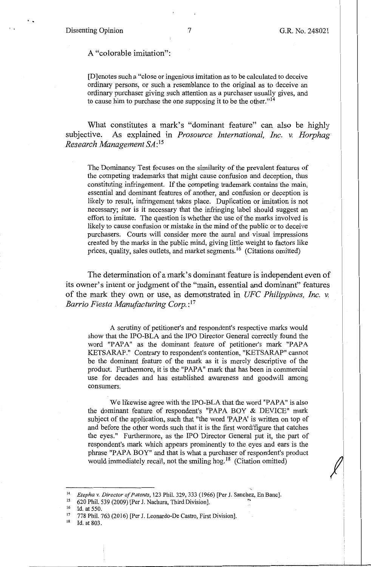#### Dissenting Opinion 7 G.R. No. 248021

..

### A "colorable imitation":

[D]enotes such a "close or ingenious imitation as to be calculated to deceive ordinary persons, or such a resemblance to the original as to deceive an ordinary purchaser giving such attention as a purchaser usually gives, and to cause him to purchase the one supposing it to be the other."14

What constitutes a mark's "dominant feature" can also be highly subjective. As explained in *Prosource International, Inc.* v. *Horphag Research Management* SA: <sup>15</sup>

The Dominancy Test focuses on the similarity of the prevalent features of the competing trademarks that might cause confusion and deception, thus constituting infringement. If the competing trademark contains the main, essential and dominant features of another, and confusion or deception is likely to result, infringement takes place. Duplication or imitation is not necessary; nor is it necessary that the infringing label should suggest an effort to imitate. The question is whether the use of the marks involved is likely to cause confusion or mistake in the mind of the public or to deceive purchasers. Courts will consider more the aural and visual impressions created by the marks in the public mind, giving little weight to factors like prices, quality, sales outlets, and market segments. 16 (Citations omitted)

The determination of a mark's dominant feature is independent even of its owner's intent or judgment of the "main, essential and dominant" features of the mark they own or use, as demonstrated in *UFC Philippines, Inc. v. Barrio Fiesta Manufacturing Corp.:* <sup>17</sup>

A scrutiny of petitioner's and respondent's respective marks would show that the IPO-BLA and the IPO Director General correctly found the word "PAPA" as the dominant feature of petitioner's mark "PAPA KETSARAP." Contrary to respondent's contention, "KETSARAP" cannot be the dominant feature of the mark as it is merely descriptive of the product. Furthermore, it is the "PAPA" mark that has been in commercial use for decades and has established awareness and goodwill among consumers.

We likewise agree with the IPO-BLA that the word "PAPA" is also the dominant feature of respondent's "PAPA BOY & DEVICE" mark subject of the application, such that "the word 'PAPA' is written on top of and before the other words such that it is the first word/figure that catches the eyes." Furthermore, as the IPO Director General put it, the part of respondent's mark which appears prominently to the eyes and ears is the phrase "PAPA BOY" and that is what a purchaser of respondent's product would immediately recall, not the smiling hog.<sup>18</sup> (Citation omitted)

<sup>14</sup>*Etepha v. Director of Patents,* 123 Phil. 329,333 (1966) [Per J. Sanchez, En Banc).

<sup>&</sup>lt;sup>16</sup> Id. at 550.<br><sup>17</sup> 778 Phil. 763 (2016) [Per J. Leonardo-De Castro, First Division].<br><sup>18</sup> Id. at 803.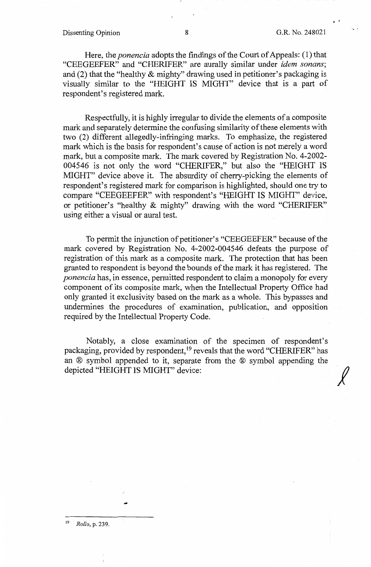Dissenting Opinion 8 8 G.R. No. 248021

••

*j* 

Here, the *ponencia* adopts the findings of the Court of Appeals: (1) that "CEEGEEFER" and "CHERIFER" are aurally similar under *idem sonans;*  and (2) that the "healthy & mighty" drawing used in petitioner's packaging is visually similar to the "HEIGHT IS MIGHT" device that is a part of respondent's registered mark.

Respectfully, it is highly irregular to divide the elements of a composite mark and separately determine the confusing similarity of these elements with two (2) different allegedly-infringing marks. To emphasize, the registered mark which is the basis for respondent's cause of action is not merely a word mark, but a composite mark. The mark covered by Registration No. 4-2002- 004546 is not only the word "CHERIFER," but also the "HEIGHT IS MIGHT" device above it. The absurdity of cherry-picking the elements of respondent's registered mark for comparison is highlighted, should one try to compare "CEEGEEFER" with respondent's "HEIGHT IS MIGHT" device, or petitioner's "healthy & mighty" drawing with the word "CHERIFER" using either a visual or aural test.

To permit the injunction of petitioner's "CEEGEEFER" because of the mark covered by Registration No. 4-2002-004546 defeats the purpose of registration of this mark as a composite mark. The protection that has been granted to respondent is beyond the bounds of the mark it has registered. The *ponencia* has, in essence, permitted respondent to claim a monopoly for every component of its composite mark, when the Intellectual Property Office had only granted it exclusivity based on the mark as a whole. This bypasses and undermines the procedures of examination, publication, and opposition required by the Intellectual Property Code.

Notably, a close examination of the specimen of respondent's packaging, provided by respondent,<sup>19</sup> reveals that the word "CHERIFER" has an ® symbol appended to it, separate from the ® symbol appending the depicted "HEIGHT IS MIGHT" device:

<sup>19</sup>*Rollo,* p. 239.

-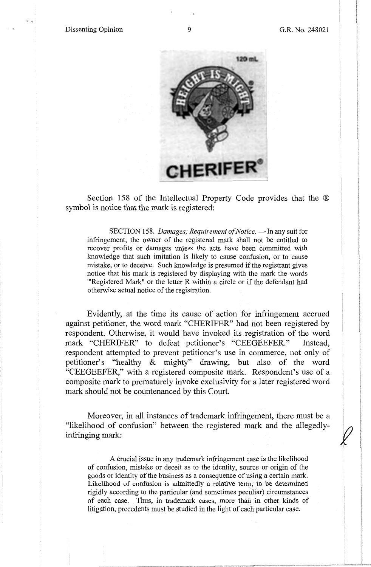

Section 158 of the Intellectual Property Code provides that the  $\otimes$ symbol is notice that the mark is registered:

SECTION 158. *Damages; Requirement of Notice*. - In any suit for infringement, the owner of the registered mark shall not be entitled to recover profits or damages unless the acts have been committed with knowledge that such imitation is likely to cause confusion, or to cause mistake, or to deceive. Such knowledge is presumed if the registrant gives notice that his mark is registered by displaying with the mark the words "Registered Mark" or the letter R within a circle or if the defendant had otherwise actual notice of the registration.

Evidently, at the time its cause of action for infringement accrued against petitioner, the word mark "CHERIFER" had not been registered by respondent. Otherwise, it would have invoked its registration of the word mark "CHERIFER" to defeat petitioner's "CEEGEEFER." Instead, respondent attempted to prevent petitioner's use in commerce, not only of petitioner's "healthy & mighty" drawing, but also of the word "CEEGEEFER," with a registered composite mark. Respondent's use of a composite mark to prematurely invoke exclusivity for a later registered word mark should not be countenanced by this Court.

Moreover, in all instances of trademark infringement, there must be a "likelihood of confusion" between the registered mark and the allegedly- */}*  infringing mark:

A crucial issue in any trademark infringement case is the likelihood of confusion, mistake or deceit as to the identity, source or origin of the goods or identity of the business as a consequence of using a certain mark. Likelihood of confusion is admittedly a relative term, to be determined rigidly according to the particular (and sometimes peculiar) circumstances of each case. Thus, in trademark cases, more than in other kinds of litigation, precedents must be studied in the light of each particular case.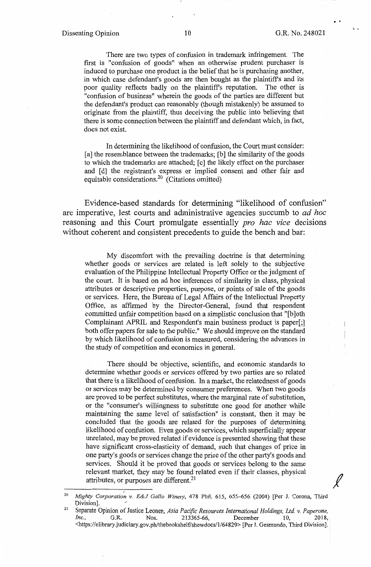. .

.• '

There are two types of confusion in trademark infringement. The first is "confusion of goods" when an otherwise prudent purchaser is induced to purchase one product in the belief that he is purchasing another, in which case defendant's goods are then bought as the plaintiff's and its poor quality reflects badly on the plaintiff's reputation. The other is "confusion of business" wherein the goods of the parties are different but the defendant's product can reasonably (though mistakenly) be assumed to originate from the plaintiff, thus deceiving the public into believing that there is some connection between the plaintiff and defendant which, in fact, does not exist.

In determining the likelihood of confusion, the Court must consider: [a] the resemblance between the trademarks; [b] the similarity of the goods to which the trademarks are attached; [ c] the likely effect on the purchaser and [d] the registrant's express or implied consent and other fair and equitable considerations.20 (Citations omitted)

Evidence-based standards for determining "likelihood of confusion" are imperative, lest courts and administrative agencies succumb to *ad hoc*  reasoning and this Court promulgate essentially *pro hac vice* decisions without coherent and consistent precedents to guide the bench and bar:

My discomfort with the prevailing doctrine is that determining whether goods or services are related is left solely to the subjective evaluation of the Philippine Intellectual Property Office or the judgment of the court. It is based on ad hoc inferences of similarity in class, physical attributes or descriptive properties, purpose, or points of sale of the goods or services. Here, the Bureau of Legal Affairs of the Intellectual Property Office, as affirmed by the Director-General, found that respondent committed unfair competition based on a simplistic conclusion that "[b]oth Complainant APRIL and Respondent's main business product is paper[;] both offer papers for sale to the public." We should improve on the standard by which likelihood of confusion is measured, considering the advances in the study of competition and economics in general.

There should be objective, scientific, and economic standards to determine whether goods or services offered by two parties are so related that there is a likelihood of confusion. In a market, the relatedness of goods or services may be determined by consumer preferences. When two goods are proved to be perfect substitutes, where the marginal rate of substitution, or the "consumer's willingness to substitute one good for another while maintaining the same level of satisfaction" is constant, then it may be concluded that the goods ate related for the purposes of determining likelihood of confusion. Even goods or services, which superficially appear unrelated, may be proved related if evidence is presented showing that these have significant cross-elasticity of demand, such that changes of price in one party's goods or services change the price of the other party's goods and services. Should it be proved that goods or services belong to the same relevant market, they may be found related even if their classes, physical attributes, or purposes are different.<sup>21</sup>

<sup>/</sup>  <sup>20</sup>*Mighty Corporation v. E&J Gallo Winery,* 478 Phil. 615, 655-656 (2004) [Per J. Corona, Third Division].

<sup>&</sup>lt;sup>21</sup> Separate Opinion of Justice Leonen, *Asia Pacific Resources International Holdings, Ltd. v. Paperone, <i>Inc.*, G.R. Nos. 213365-66, December 10, 2018, *Inc.*, G.R. Nos. 213365-66, December 10, https://elibrary.judiciary.gov.ph/thebookshelf/showdocs/1/64829> [Per J. Gesmundo, Third Division].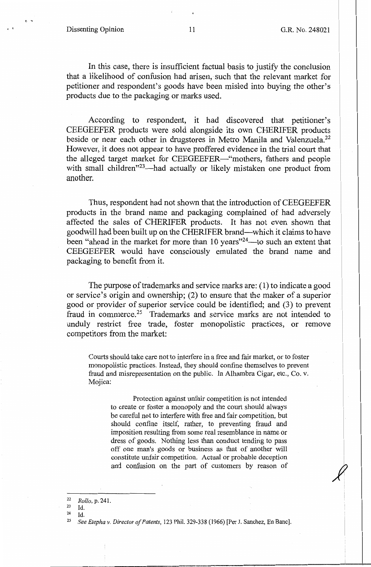In this case, there is insufficient factual basis to justify the conclusion that a likelihood of confusion had arisen, such that the relevant market for petitioner and respondent's goods have been misled into buying the other's products due to the packaging or marks used.

According to respondent, it had discovered that petitioner's CEEGEEFER products were sold alongside its own CHERIFER products beside or near each other in drugstores in Metro Manila and Valenzuela.<sup>22</sup> However, it does not appear to have proffered evidence in the trial court that the alleged target market for CEEGEEFER-"mothers, fathers and people with small children"<sup>23</sup>—had actually or likely mistaken one product from another.

Thus, respondent had not shown that the introduction of CEEGEEFER products in the brand name and packaging complained of had adversely affected the sales of CHERIFER products. It has not even shown that goodwill had been built up on the CHERIFER brand-which it claims to have been "ahead in the market for more than 10 years"<sup>24</sup>-to such an extent that CEEGEEFER would have consciously emulated the brand name and packaging to benefit from it.

The purpose of trademarks and service marks are: (1) to indicate a good or service's origin and ownership; (2) to ensure that the maker of a superior good or provider of superior service could be identified; and (3) to prevent fraud in commerce.<sup>25</sup> Trademarks and service marks are not intended to unduly restrict free trade, foster monopolistic practices, or remove competitors from the market:

Courts should take care not to interfere in a free and fair market, or to foster monopolistic practices. Instead, they should confine themselves to prevent fraud and misrepresentation on the public. In Alhambra Cigar, etc., Co. v. Mojica:

Protection against unfair competition is not intended to create or foster a monopoly and the court should always be careful not to interfere with free and fair competition, but should confine itself, rather, to preventing fraud and imposition resulting from some real resemblance in name or dress of goods. Nothing less than conduct tending to pass off one man's goods or business as that of another will constitute unfair competition. Actual or probable deception and confusion on the part of customers by reason of

 $^{24}$  Id.

<sup>22</sup>*Rollo,* p. 241.

<sup>23</sup> Id.

<sup>25</sup> *See Etepha v. Director of Patents,* 123 Phil. 329-338 (1966) [Per J. Sanchez, En Banc].